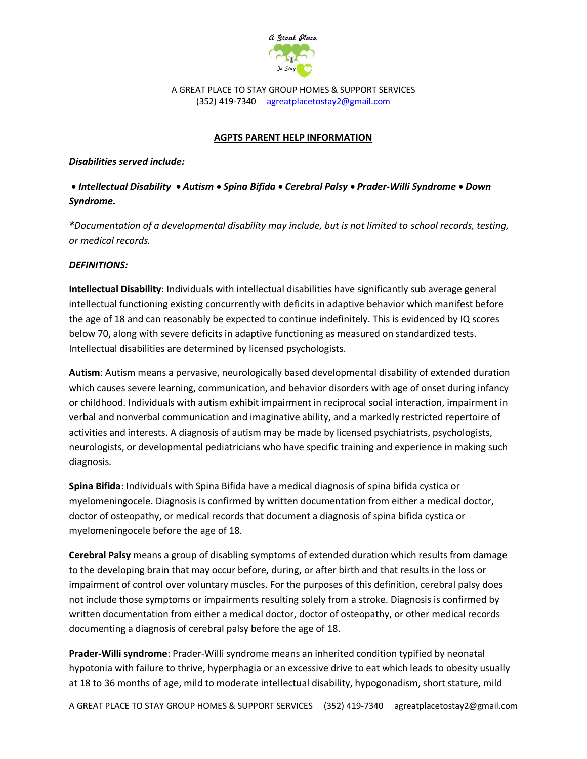

A GREAT PLACE TO STAY GROUP HOMES & SUPPORT SERVICES (352) 419-7340 agreatplacetostay2@gmail.com

## **AGPTS PARENT HELP INFORMATION**

## *Disabilities served include:*

 *Intellectual Disability Autism Spina Bifida Cerebral Palsy Prader-Willi Syndrome Down Syndrome.* 

*\*Documentation of a developmental disability may include, but is not limited to school records, testing, or medical records.*

## *DEFINITIONS:*

**Intellectual Disability**: Individuals with intellectual disabilities have significantly sub average general intellectual functioning existing concurrently with deficits in adaptive behavior which manifest before the age of 18 and can reasonably be expected to continue indefinitely. This is evidenced by IQ scores below 70, along with severe deficits in adaptive functioning as measured on standardized tests. Intellectual disabilities are determined by licensed psychologists.

**Autism**: Autism means a pervasive, neurologically based developmental disability of extended duration which causes severe learning, communication, and behavior disorders with age of onset during infancy or childhood. Individuals with autism exhibit impairment in reciprocal social interaction, impairment in verbal and nonverbal communication and imaginative ability, and a markedly restricted repertoire of activities and interests. A diagnosis of autism may be made by licensed psychiatrists, psychologists, neurologists, or developmental pediatricians who have specific training and experience in making such diagnosis.

**Spina Bifida**: Individuals with Spina Bifida have a medical diagnosis of spina bifida cystica or myelomeningocele. Diagnosis is confirmed by written documentation from either a medical doctor, doctor of osteopathy, or medical records that document a diagnosis of spina bifida cystica or myelomeningocele before the age of 18.

**Cerebral Palsy** means a group of disabling symptoms of extended duration which results from damage to the developing brain that may occur before, during, or after birth and that results in the loss or impairment of control over voluntary muscles. For the purposes of this definition, cerebral palsy does not include those symptoms or impairments resulting solely from a stroke. Diagnosis is confirmed by written documentation from either a medical doctor, doctor of osteopathy, or other medical records documenting a diagnosis of cerebral palsy before the age of 18.

**Prader-Willi syndrome**: Prader-Willi syndrome means an inherited condition typified by neonatal hypotonia with failure to thrive, hyperphagia or an excessive drive to eat which leads to obesity usually at 18 to 36 months of age, mild to moderate intellectual disability, hypogonadism, short stature, mild

A GREAT PLACE TO STAY GROUP HOMES & SUPPORT SERVICES (352) 419-7340 agreatplacetostay2@gmail.com